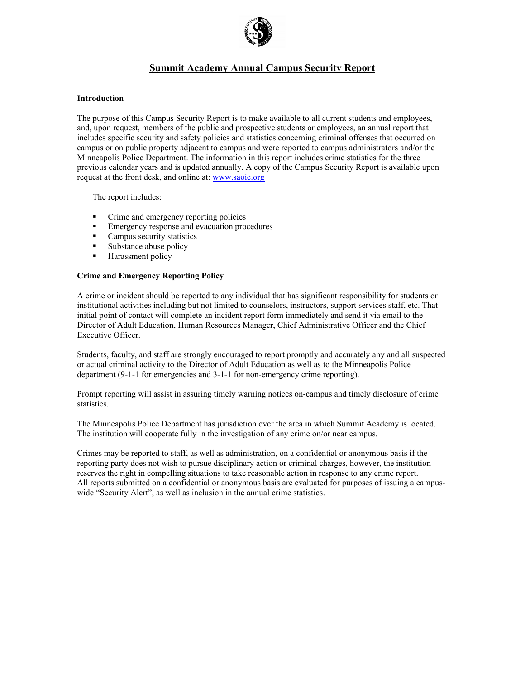

# **Summit Academy Annual Campus Security Report**

## **Introduction**

The purpose of this Campus Security Report is to make available to all current students and employees, and, upon request, members of the public and prospective students or employees, an annual report that includes specific security and safety policies and statistics concerning criminal offenses that occurred on campus or on public property adjacent to campus and were reported to campus administrators and/or the Minneapolis Police Department. The information in this report includes crime statistics for the three previous calendar years and is updated annually. A copy of the Campus Security Report is available upon request at the front desk, and online at: www.saoic.org

The report includes:

- Crime and emergency reporting policies
- Emergency response and evacuation procedures
- **Campus security statistics**
- Substance abuse policy
- Harassment policy

# **Crime and Emergency Reporting Policy**

A crime or incident should be reported to any individual that has significant responsibility for students or institutional activities including but not limited to counselors, instructors, support services staff, etc. That initial point of contact will complete an incident report form immediately and send it via email to the Director of Adult Education, Human Resources Manager, Chief Administrative Officer and the Chief Executive Officer.

Students, faculty, and staff are strongly encouraged to report promptly and accurately any and all suspected or actual criminal activity to the Director of Adult Education as well as to the Minneapolis Police department (9-1-1 for emergencies and 3-1-1 for non-emergency crime reporting).

Prompt reporting will assist in assuring timely warning notices on-campus and timely disclosure of crime statistics.

The Minneapolis Police Department has jurisdiction over the area in which Summit Academy is located. The institution will cooperate fully in the investigation of any crime on/or near campus.

Crimes may be reported to staff, as well as administration, on a confidential or anonymous basis if the reporting party does not wish to pursue disciplinary action or criminal charges, however, the institution reserves the right in compelling situations to take reasonable action in response to any crime report. All reports submitted on a confidential or anonymous basis are evaluated for purposes of issuing a campuswide "Security Alert", as well as inclusion in the annual crime statistics.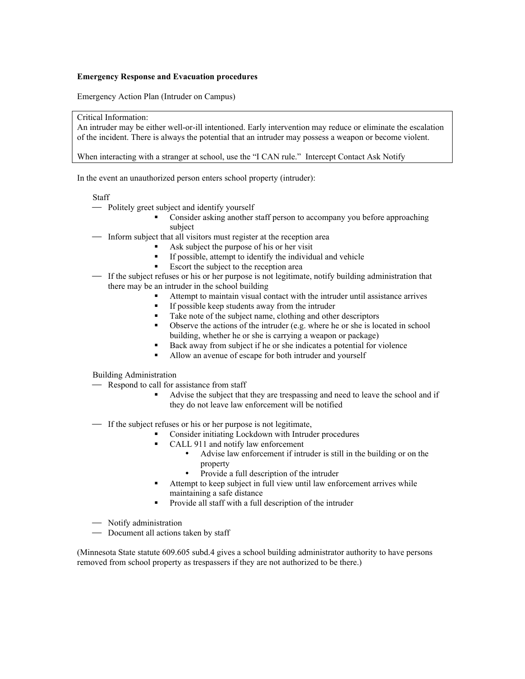#### **Emergency Response and Evacuation procedures**

Emergency Action Plan (Intruder on Campus)

#### Critical Information:

An intruder may be either well-or-ill intentioned. Early intervention may reduce or eliminate the escalation of the incident. There is always the potential that an intruder may possess a weapon or become violent.

When interacting with a stranger at school, use the "I CAN rule." Intercept Contact Ask Notify

In the event an unauthorized person enters school property (intruder):

## Staff

- Politely greet subject and identify yourself
	- Consider asking another staff person to accompany you before approaching subject
- $\equiv$  Inform subject that all visitors must register at the reception area
	- Ask subject the purpose of his or her visit
	- If possible, attempt to identify the individual and vehicle
	- Escort the subject to the reception area
- ! If the subject refuses or his or her purpose is not legitimate, notify building administration that there may be an intruder in the school building
	- Attempt to maintain visual contact with the intruder until assistance arrives
	- If possible keep students away from the intruder
	- Take note of the subject name, clothing and other descriptors
	- Observe the actions of the intruder (e.g. where he or she is located in school building, whether he or she is carrying a weapon or package)
	- Back away from subject if he or she indicates a potential for violence
	- Allow an avenue of escape for both intruder and yourself

# Building Administration

- Respond to call for assistance from staff
	- Advise the subject that they are trespassing and need to leave the school and if they do not leave law enforcement will be notified
- ! If the subject refuses or his or her purpose is not legitimate,
	- Consider initiating Lockdown with Intruder procedures
		- CALL 911 and notify law enforcement
			- Advise law enforcement if intruder is still in the building or on the property
				- Provide a full description of the intruder
		- Attempt to keep subject in full view until law enforcement arrives while maintaining a safe distance
	- Provide all staff with a full description of the intruder
- Notify administration
- Document all actions taken by staff

(Minnesota State statute 609.605 subd.4 gives a school building administrator authority to have persons removed from school property as trespassers if they are not authorized to be there.)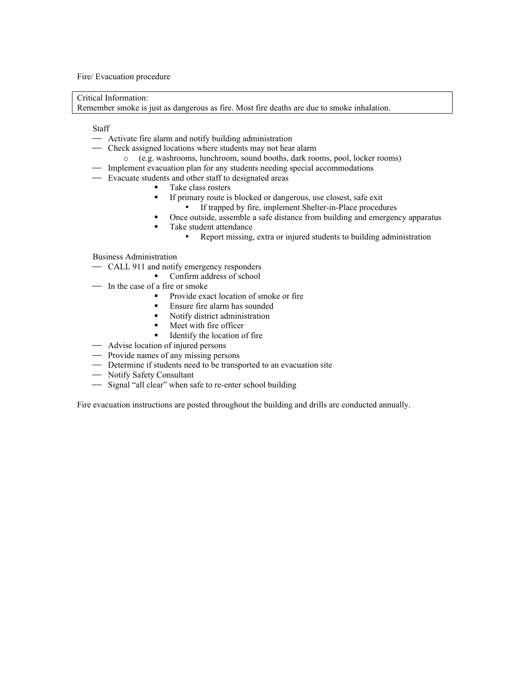Fire/ Evacuation procedure

Critical Information:

Remember smoke is just as dangerous as fire. Most fire deaths are due to smoke inhalation.

Staff

- Activate fire alarm and notify building administration
- Check assigned locations where students may not hear alarm
	- o (e.g. washrooms, lunchroom, sound booths, dark rooms, pool, locker rooms)
- Implement evacuation plan for any students needing special accommodations
- Evacuate students and other staff to designated areas
	- Take class rosters
	- If primary route is blocked or dangerous, use closest, safe exit If trapped by fire, implement Shelter-in-Place procedures
	- Once outside, assemble a safe distance from building and emergency apparatus
	- Take student attendance
		- Report missing, extra or injured students to building administration

Business Administration

- CALL 911 and notify emergency responders
	- Confirm address of school
- In the case of a fire or smoke
	- Provide exact location of smoke or fire
	- Ensure fire alarm has sounded
	- Notify district administration
	- **Meet with fire officer**
	- Identify the location of fire
- $\sim$  Advise location of injured persons
- Provide names of any missing persons
- Determine if students need to be transported to an evacuation site
- Notify Safety Consultant
- Signal "all clear" when safe to re-enter school building

Fire evacuation instructions are posted throughout the building and drills are conducted annually.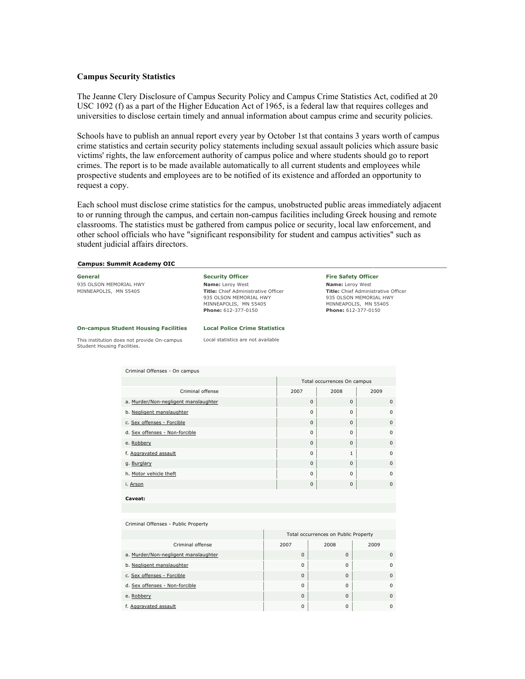#### **Campus Security Statistics**

The Jeanne Clery Disclosure of Campus Security Policy and Campus Crime Statistics Act, codified at 20 USC 1092 (f) as a part of the Higher Education Act of 1965, is a federal law that requires colleges and universities to disclose certain timely and annual information about campus crime and security policies.

Schools have to publish an annual report every year by October 1st that contains 3 years worth of campus crime statistics and certain security policy statements including sexual assault policies which assure basic victims' rights, the law enforcement authority of campus police and where students should go to report crimes. The report is to be made available automatically to all current students and employees while prospective students and employees are to be notified of its existence and afforded an opportunity to request a copy.

Each school must disclose crime statistics for the campus, unobstructed public areas immediately adjacent to or running through the campus, and certain non-campus facilities including Greek housing and remote classrooms. The statistics must be gathered from campus police or security, local law enforcement, and other school officials who have "significant responsibility for student and campus activities" such as student judicial affairs directors.

#### **Campus: Summit Academy OIC**

| General                                                                    |                                             | <b>Security Officer</b>                                                                                                                         | <b>Fire Safety Officer</b>                                                                                                                      |  |  |  |  |
|----------------------------------------------------------------------------|---------------------------------------------|-------------------------------------------------------------------------------------------------------------------------------------------------|-------------------------------------------------------------------------------------------------------------------------------------------------|--|--|--|--|
| 935 OLSON MEMORIAL HWY<br>MINNEAPOLIS, MN 55405                            |                                             | <b>Name:</b> Leroy West<br><b>Title:</b> Chief Administrative Officer<br>935 OLSON MEMORIAL HWY<br>MINNEAPOLIS, MN 55405<br>Phone: 612-377-0150 | <b>Name:</b> Leroy West<br><b>Title:</b> Chief Administrative Officer<br>935 OLSON MEMORIAL HWY<br>MINNEAPOLIS, MN 55405<br>Phone: 612-377-0150 |  |  |  |  |
|                                                                            | <b>On-campus Student Housing Facilities</b> | <b>Local Police Crime Statistics</b>                                                                                                            |                                                                                                                                                 |  |  |  |  |
| This institution does not provide On-campus<br>Student Housing Facilities. |                                             | Local statistics are not available                                                                                                              |                                                                                                                                                 |  |  |  |  |
|                                                                            |                                             |                                                                                                                                                 |                                                                                                                                                 |  |  |  |  |
|                                                                            | Criminal Offenses - On campus               |                                                                                                                                                 |                                                                                                                                                 |  |  |  |  |
|                                                                            |                                             |                                                                                                                                                 |                                                                                                                                                 |  |  |  |  |

|                                      | Total occurrences On campus |                |             |  |  |
|--------------------------------------|-----------------------------|----------------|-------------|--|--|
| Criminal offense                     | 2007                        | 2008           | 2009        |  |  |
| a. Murder/Non-negligent manslaughter | $\mathbf{0}$                | $\Omega$       | $\mathbf 0$ |  |  |
| b. Negligent manslaughter            | $\Omega$                    | 0              | $\mathbf 0$ |  |  |
| c. Sex offenses - Forcible           | $\Omega$                    | $\Omega$       | $\Omega$    |  |  |
| d. Sex offenses - Non-forcible       | $\Omega$                    | $\Omega$       | $\Omega$    |  |  |
| e. Robbery                           | $\Omega$                    | $\Omega$       | $\Omega$    |  |  |
| f. Aggravated assault                | $\Omega$                    | $\overline{1}$ | $\Omega$    |  |  |
| g. Burglary                          | $\Omega$                    | $\Omega$       | $\Omega$    |  |  |
| h. Motor vehicle theft               | $\Omega$                    | $\Omega$       | $\Omega$    |  |  |
| i. Arson                             | $\mathbf{0}$                | $\Omega$       | $\Omega$    |  |  |
| Caveat:                              |                             |                |             |  |  |

#### Criminal Offenses - Public Property

|                                      | Total occurrences on Public Property |          |          |  |  |
|--------------------------------------|--------------------------------------|----------|----------|--|--|
| Criminal offense                     | 2007                                 | 2008     | 2009     |  |  |
| a. Murder/Non-negligent manslaughter | $\Omega$                             | $\Omega$ | $\Omega$ |  |  |
| b. Negligent manslaughter            | $\Omega$                             | $\Omega$ | $\Omega$ |  |  |
| c. Sex offenses - Forcible           | $\Omega$                             | $\Omega$ |          |  |  |
| d. Sex offenses - Non-forcible       | $\Omega$                             | $\Omega$ |          |  |  |
| e. Robbery                           | $\Omega$                             | $\Omega$ |          |  |  |
| f. Aggravated assault                | 0                                    | 0        |          |  |  |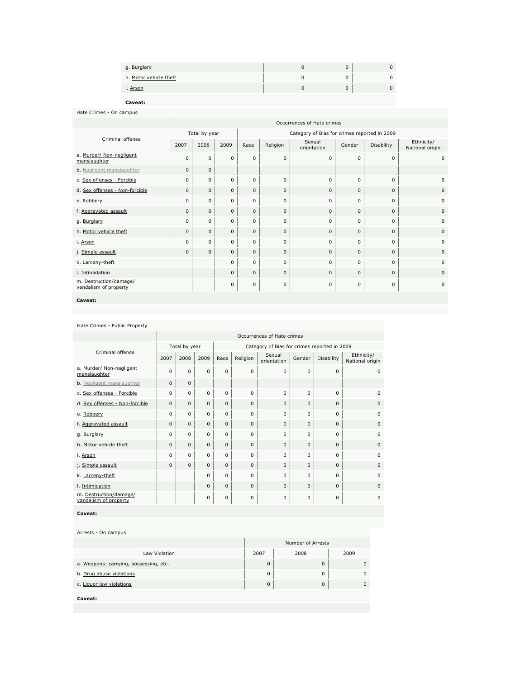| g. Burglary            |  |  |
|------------------------|--|--|
| h. Motor vehicle theft |  |  |
| i. Arson               |  |  |

**Caveat:**

Hate Crimes - On campus

|                                                 | Occurrences of Hate crimes |              |              |                                              |              |                       |              |              |                               |  |
|-------------------------------------------------|----------------------------|--------------|--------------|----------------------------------------------|--------------|-----------------------|--------------|--------------|-------------------------------|--|
|                                                 | Total by year              |              |              | Category of Bias for crimes reported in 2009 |              |                       |              |              |                               |  |
| Criminal offense                                | 2007                       | 2008         | 2009         | Race                                         | Religion     | Sexual<br>orientation | Gender       | Disability   | Ethnicity/<br>National origin |  |
| a. Murder/ Non-negligent<br>manslaughter        | $\mathbf 0$                | $\Omega$     | $\Omega$     | $\mathbf 0$                                  | $\mathbf 0$  | $\Omega$              | $\Omega$     | $\mathbf 0$  | $\mathbf 0$                   |  |
| <b>b.</b> Negligent manslaughter                | $\mathbf{0}$               | $\Omega$     |              |                                              |              |                       |              |              |                               |  |
| c. Sex offenses - Forcible                      | 0                          | 0            | $\mathbf 0$  | $\mathbf 0$                                  | $\mathbf 0$  | $\Omega$              | $\Omega$     | $\mathbf 0$  | $\mathbf{0}$                  |  |
| d. Sex offenses - Non-forcible                  | $\mathbf{0}$               | $\mathbf{0}$ | $\mathbf{0}$ | $\mathbf{0}$                                 | $\mathbf{0}$ | $\mathbf{0}$          | $\Omega$     | $\mathbf 0$  | $\mathbf{0}$                  |  |
| e. Robbery                                      | 0                          | 0            | $\mathbf{0}$ | $\mathbf 0$                                  | $\mathbf 0$  | $\Omega$              | $\Omega$     | $\mathbf 0$  | $\mathbf 0$                   |  |
| f. Aggravated assault                           | $\mathbf{0}$               | $\mathbf{0}$ | $\mathbf{0}$ | $\mathbf{0}$                                 | $\mathbf{0}$ | $\mathbf{0}$          | $\mathbf{0}$ | $\mathbf{0}$ | $\mathbf{0}$                  |  |
| g. Burglary                                     | 0                          | 0            | $\mathbf{0}$ | $\mathbf 0$                                  | $\mathbf 0$  | $\mathbf 0$           | $\Omega$     | $\mathbf 0$  | 0                             |  |
| h. Motor vehicle theft                          | $\mathbf{0}$               | $\Omega$     | $\mathbf{0}$ | $\mathbf{0}$                                 | $\mathbf{0}$ | $\mathbf{0}$          | $\Omega$     | $\mathbf{0}$ | $\mathbf{0}$                  |  |
| i. Arson                                        | 0                          | 0            | $\mathbf{0}$ | $\mathbf 0$                                  | $\mathbf 0$  | 0                     | 0            | $\mathbf 0$  | $\mathbf{0}$                  |  |
| j. Simple assault                               | $\mathbf{0}$               | $\Omega$     | $\mathbf{0}$ | $\mathbf{0}$                                 | $\mathbf{0}$ | $\mathbf{0}$          | $\Omega$     | $\mathbf{0}$ | $\mathbf{0}$                  |  |
| k. Larceny-theft                                |                            |              | $\mathbf 0$  | $\mathbf 0$                                  | $\mathbf 0$  | $\Omega$              | $\Omega$     | $\Omega$     | $\Omega$                      |  |
| I. Intimidation                                 |                            |              | $\mathbf{0}$ | $\mathbf{0}$                                 | $\mathbf{0}$ | $\mathbf{0}$          | $\Omega$     | $\mathbf{0}$ | $\Omega$                      |  |
| m. Destruction/damage/<br>vandalism of property |                            |              | $\mathbf{0}$ | $\mathbf 0$                                  | $\mathbf 0$  | 0                     | 0            | $\mathbf 0$  | $\mathbf 0$                   |  |
|                                                 |                            |              |              |                                              |              |                       |              |              |                               |  |

**Caveat:**

#### Hate Crimes - Public Property

|                                                 | Occurrences of Hate crimes |              |              |                                              |             |                       |             |             |                               |  |
|-------------------------------------------------|----------------------------|--------------|--------------|----------------------------------------------|-------------|-----------------------|-------------|-------------|-------------------------------|--|
|                                                 | Total by year              |              |              | Category of Bias for crimes reported in 2009 |             |                       |             |             |                               |  |
| Criminal offense                                | 2007                       | 2008         | 2009         | Race                                         | Religion    | Sexual<br>orientation | Gender      | Disability  | Ethnicity/<br>National origin |  |
| a. Murder/ Non-negligent<br>manslaughter        | $\Omega$                   | 0            | 0            | $\Omega$                                     | $\Omega$    | $\Omega$              | $\Omega$    | $\Omega$    | $\Omega$                      |  |
| <b>b.</b> Negligent manslaughter                | $\mathbf{0}$               | $\mathbf{0}$ |              |                                              |             |                       |             |             |                               |  |
| c. Sex offenses - Forcible                      | $\mathbf 0$                | 0            | $\mathbf 0$  | $\Omega$                                     | $\Omega$    | $\Omega$              | $\Omega$    | $\Omega$    | $\Omega$                      |  |
| d. Sex offenses - Non-forcible                  | $\mathbf 0$                | $\mathbf{0}$ | $\mathbf 0$  | 0                                            | $\mathbf 0$ | $\Omega$              | $\mathbf 0$ | $\Omega$    | $\Omega$                      |  |
| e. Robbery                                      | 0                          | 0            | $\mathbf 0$  | 0                                            | 0           | $\Omega$              | $\mathbf 0$ | $\mathbf 0$ | $\Omega$                      |  |
| f. Aggravated assault                           | 0                          | $\mathbf{0}$ | $\mathbf{0}$ | $\Omega$                                     | $\Omega$    | $\Omega$              | $\Omega$    | $\Omega$    | $\Omega$                      |  |
| g. Burglary                                     | 0                          | 0            | $\mathbf 0$  | 0                                            | 0           | 0                     | $\mathbf 0$ | $\Omega$    | $\Omega$                      |  |
| h. Motor vehicle theft                          | $\mathbf{0}$               | $\mathbf{0}$ | $\mathbf{0}$ | 0                                            | $\Omega$    | $\Omega$              | $\Omega$    | $\Omega$    | $\Omega$                      |  |
| i. Arson                                        | $\Omega$                   | 0            | $\mathbf 0$  | $\Omega$                                     | $\Omega$    | $\Omega$              | $\Omega$    | $\Omega$    | $\Omega$                      |  |
| j. Simple assault                               | 0                          | $\mathbf{0}$ | $\mathbf{0}$ | $\mathbf{0}$                                 | $\Omega$    | $\Omega$              | $\mathbf 0$ | $\Omega$    | $\Omega$                      |  |
| k. Larceny-theft                                |                            |              | 0            | $\Omega$                                     | $\Omega$    | $\Omega$              | $\Omega$    | $\Omega$    | $\Omega$                      |  |
| I. Intimidation                                 |                            |              | $\mathbf{0}$ | 0                                            | $\Omega$    | $\Omega$              | $\Omega$    | $\Omega$    | $\Omega$                      |  |
| m. Destruction/damage/<br>vandalism of property |                            |              | 0            | 0                                            | 0           | $\Omega$              | $\mathbf 0$ | $\mathbf 0$ | $\Omega$                      |  |

**Caveat:**

Arrests - On campus

|                                        | Number of Arrests |      |          |  |  |
|----------------------------------------|-------------------|------|----------|--|--|
| Law Violation                          | 2007              | 2008 | 2009     |  |  |
| a. Weapons: carrying, possessing, etc. | $\Omega$          |      | $\Omega$ |  |  |
| b. Drug abuse violations               |                   |      | $\Omega$ |  |  |
| c. Liquor law violations               | $\Omega$          |      | $\Omega$ |  |  |
| Caveat:                                |                   |      |          |  |  |
|                                        |                   |      |          |  |  |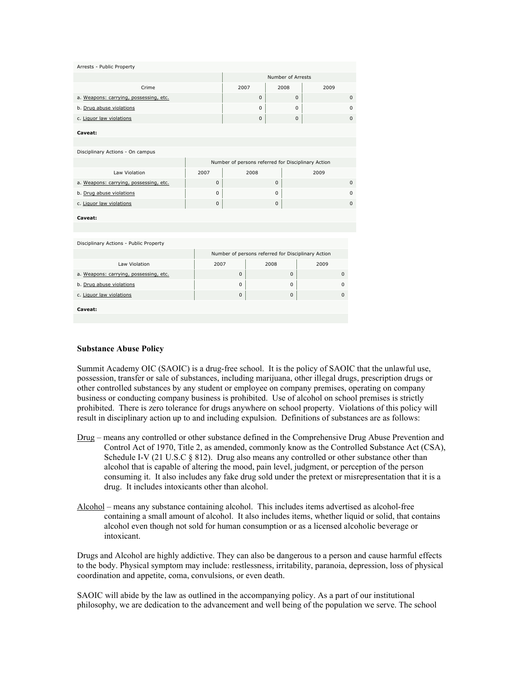| Arrests - Public Property              |              |                   |          |   |              |                                                    |             |              |
|----------------------------------------|--------------|-------------------|----------|---|--------------|----------------------------------------------------|-------------|--------------|
|                                        |              | Number of Arrests |          |   |              |                                                    |             |              |
| Crime                                  | 2007<br>2008 |                   |          |   | 2009         |                                                    |             |              |
| a. Weapons: carrying, possessing, etc. |              |                   | $\Omega$ |   | $\mathbf{0}$ |                                                    |             | $\mathbf{0}$ |
| b. Drug abuse violations               |              |                   | $\Omega$ |   | $\mathbf 0$  |                                                    |             | $\Omega$     |
| c. Liquor law violations               |              |                   | $\bf 0$  |   | $\pmb{0}$    |                                                    |             | $\Omega$     |
| Caveat:                                |              |                   |          |   |              |                                                    |             |              |
| Disciplinary Actions - On campus       |              |                   |          |   |              |                                                    |             |              |
|                                        |              |                   |          |   |              | Number of persons referred for Disciplinary Action |             |              |
| Law Violation                          | 2007         | 2008              |          |   |              | 2009                                               |             |              |
| a. Weapons: carrying, possessing, etc. | $\mathbf{0}$ |                   | $\Omega$ |   |              |                                                    |             | $\Omega$     |
| b. Drug abuse violations               | $\mathbf 0$  |                   | $\Omega$ |   |              |                                                    |             | $\mathbf 0$  |
| c. Liquor law violations               | $\mathbf{0}$ |                   |          | 0 |              |                                                    |             | $\mathbf 0$  |
| Caveat:                                |              |                   |          |   |              |                                                    |             |              |
|                                        |              |                   |          |   |              |                                                    |             |              |
| Disciplinary Actions - Public Property |              |                   |          |   |              |                                                    |             |              |
|                                        |              |                   |          |   |              | Number of persons referred for Disciplinary Action |             |              |
| Law Violation                          | 2007         | 2008              |          |   |              |                                                    |             |              |
| a. Weapons: carrying, possessing, etc. |              | $\Omega$          |          |   | 0            |                                                    | $\mathbf 0$ |              |
| b. Drug abuse violations               |              | $\Omega$          |          |   | $\Omega$     |                                                    | $\Omega$    |              |
| c. Liquor law violations               |              | $\mathbf 0$       |          |   | 0            |                                                    | $\Omega$    |              |
| Caveat:                                |              |                   |          |   |              |                                                    |             |              |
|                                        |              |                   |          |   |              |                                                    |             |              |

## **Substance Abuse Policy**

Summit Academy OIC (SAOIC) is a drug-free school. It is the policy of SAOIC that the unlawful use, possession, transfer or sale of substances, including marijuana, other illegal drugs, prescription drugs or other controlled substances by any student or employee on company premises, operating on company business or conducting company business is prohibited. Use of alcohol on school premises is strictly prohibited. There is zero tolerance for drugs anywhere on school property. Violations of this policy will result in disciplinary action up to and including expulsion. Definitions of substances are as follows:

- Drug means any controlled or other substance defined in the Comprehensive Drug Abuse Prevention and Control Act of 1970, Title 2, as amended, commonly know as the Controlled Substance Act (CSA), Schedule I-V (21 U.S.C § 812). Drug also means any controlled or other substance other than alcohol that is capable of altering the mood, pain level, judgment, or perception of the person consuming it. It also includes any fake drug sold under the pretext or misrepresentation that it is a drug. It includes intoxicants other than alcohol.
- Alcohol means any substance containing alcohol. This includes items advertised as alcohol-free containing a small amount of alcohol. It also includes items, whether liquid or solid, that contains alcohol even though not sold for human consumption or as a licensed alcoholic beverage or intoxicant.

Drugs and Alcohol are highly addictive. They can also be dangerous to a person and cause harmful effects to the body. Physical symptom may include: restlessness, irritability, paranoia, depression, loss of physical coordination and appetite, coma, convulsions, or even death.

SAOIC will abide by the law as outlined in the accompanying policy. As a part of our institutional philosophy, we are dedication to the advancement and well being of the population we serve. The school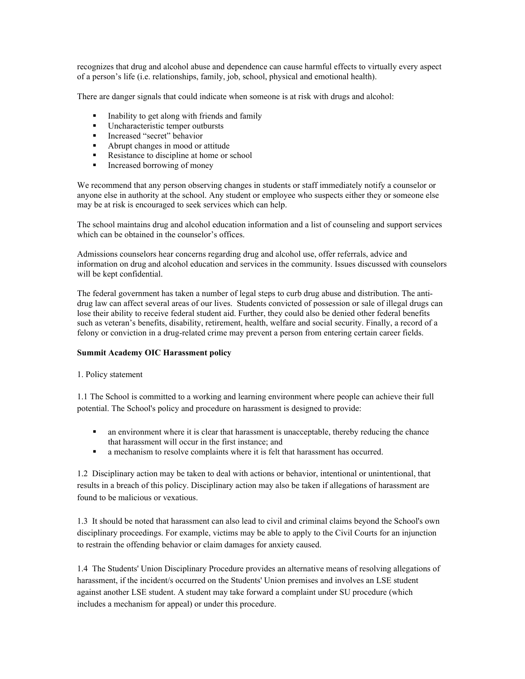recognizes that drug and alcohol abuse and dependence can cause harmful effects to virtually every aspect of a person's life (i.e. relationships, family, job, school, physical and emotional health).

There are danger signals that could indicate when someone is at risk with drugs and alcohol:

- Inability to get along with friends and family
- **Uncharacteristic temper outbursts**
- **Increased "secret" behavior**
- Abrupt changes in mood or attitude
- Resistance to discipline at home or school
- **Increased borrowing of money**

We recommend that any person observing changes in students or staff immediately notify a counselor or anyone else in authority at the school. Any student or employee who suspects either they or someone else may be at risk is encouraged to seek services which can help.

The school maintains drug and alcohol education information and a list of counseling and support services which can be obtained in the counselor's offices.

Admissions counselors hear concerns regarding drug and alcohol use, offer referrals, advice and information on drug and alcohol education and services in the community. Issues discussed with counselors will be kept confidential.

The federal government has taken a number of legal steps to curb drug abuse and distribution. The antidrug law can affect several areas of our lives. Students convicted of possession or sale of illegal drugs can lose their ability to receive federal student aid. Further, they could also be denied other federal benefits such as veteran's benefits, disability, retirement, health, welfare and social security. Finally, a record of a felony or conviction in a drug-related crime may prevent a person from entering certain career fields.

## **Summit Academy OIC Harassment policy**

#### 1. Policy statement

1.1 The School is committed to a working and learning environment where people can achieve their full potential. The School's policy and procedure on harassment is designed to provide:

- an environment where it is clear that harassment is unacceptable, thereby reducing the chance that harassment will occur in the first instance; and
- a mechanism to resolve complaints where it is felt that harassment has occurred.

1.2 Disciplinary action may be taken to deal with actions or behavior, intentional or unintentional, that results in a breach of this policy. Disciplinary action may also be taken if allegations of harassment are found to be malicious or vexatious.

1.3 It should be noted that harassment can also lead to civil and criminal claims beyond the School's own disciplinary proceedings. For example, victims may be able to apply to the Civil Courts for an injunction to restrain the offending behavior or claim damages for anxiety caused.

1.4 The Students' Union Disciplinary Procedure provides an alternative means of resolving allegations of harassment, if the incident/s occurred on the Students' Union premises and involves an LSE student against another LSE student. A student may take forward a complaint under SU procedure (which includes a mechanism for appeal) or under this procedure.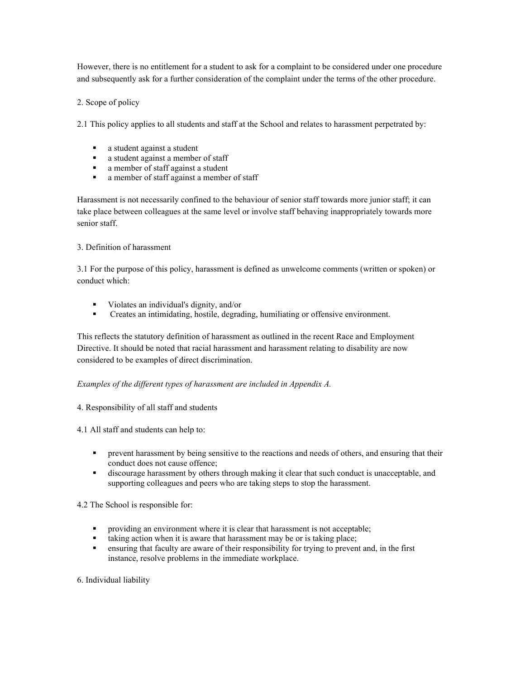However, there is no entitlement for a student to ask for a complaint to be considered under one procedure and subsequently ask for a further consideration of the complaint under the terms of the other procedure.

# 2. Scope of policy

2.1 This policy applies to all students and staff at the School and relates to harassment perpetrated by:

- a student against a student<br>• a student against a member
- a student against a member of staff<br>• a member of staff against a student
- a member of staff against a student
- a member of staff against a member of staff

Harassment is not necessarily confined to the behaviour of senior staff towards more junior staff; it can take place between colleagues at the same level or involve staff behaving inappropriately towards more senior staff.

# 3. Definition of harassment

3.1 For the purpose of this policy, harassment is defined as unwelcome comments (written or spoken) or conduct which:

- Violates an individual's dignity, and/or
- Creates an intimidating, hostile, degrading, humiliating or offensive environment.

This reflects the statutory definition of harassment as outlined in the recent Race and Employment Directive. It should be noted that racial harassment and harassment relating to disability are now considered to be examples of direct discrimination.

# *Examples of the different types of harassment are included in Appendix A.*

4. Responsibility of all staff and students

4.1 All staff and students can help to:

- **•** prevent harassment by being sensitive to the reactions and needs of others, and ensuring that their conduct does not cause offence;
- discourage harassment by others through making it clear that such conduct is unacceptable, and supporting colleagues and peers who are taking steps to stop the harassment.

4.2 The School is responsible for:

- **•** providing an environment where it is clear that harassment is not acceptable;
- $\blacksquare$  taking action when it is aware that harassment may be or is taking place;
- ensuring that faculty are aware of their responsibility for trying to prevent and, in the first instance, resolve problems in the immediate workplace.

# 6. Individual liability